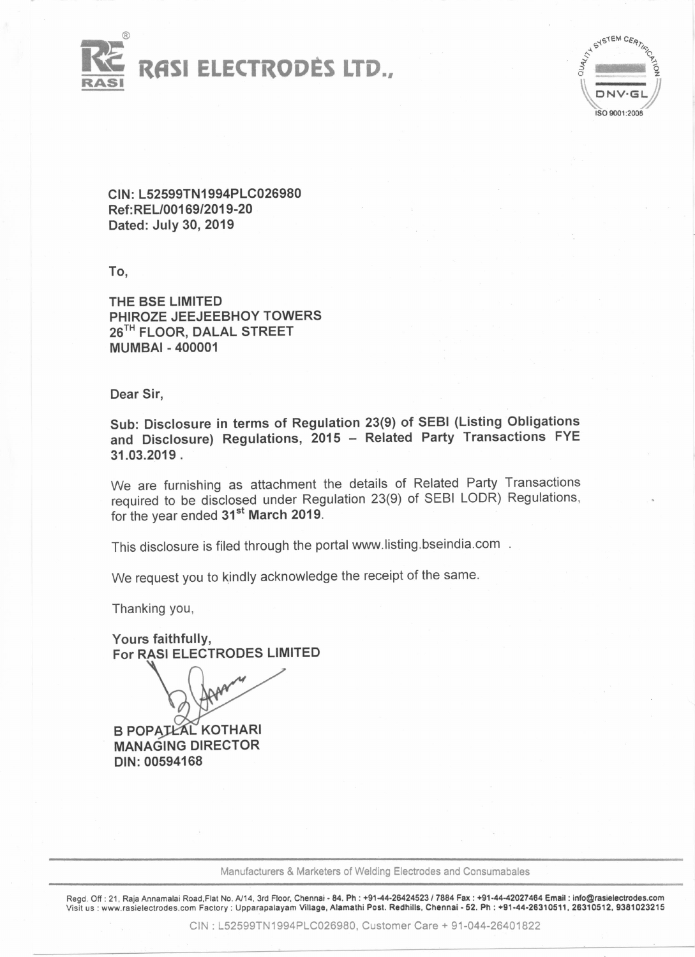



CIN:L52599TN1994PLC026980 Ref:RELl00169/2019-20 Dated: July 30, 2019

To,

THE BSE LIMITED PHIROZE JEEJEEBHOY TOWERS 26<sup>TH</sup> FLOOR, DALAL STREET MUMBAI - 400001

Dear Sir,

Sub: Disclosure in terms of Regulation 23(9) of SEBI (Listing Obligations and Disclosure) Regulations, 2015 - Related Party Transactions FYE 31.03.2019 .

We are furnishing as attachment the details of Related Party Transactions required to be disclosed under Regulation 23(9) of SEBI LODR) Regulations, for the year ended 31<sup>st</sup> March 2019.

This disclosure is filed through the portal www.listing.bseindia.com

We request you to kindly acknowledge the receipt of the same.

Thanking you,

Yours faithfully, For RASI ELECTRODES LIMITED

**B POPATEAL KOTHARI** MANAGING DIRECTOR DIN: 00594168

Manufacturers & Marketers of Welding Electrodes and Consumabales

Regd. Off: 21, Raja Annamalai Road.Flat No. *Al14.* 3rd Floor. Chennai - 84. Ph: +91-44-26424523/7884 Fax: +91-44-42027464 Emsll: info@rasielectrodes.com Visit us : www.rasielectrodes.com Factory: Upparapalayam Village, Alamathi Post. Redhills, Chennal - 52. Ph : +91-44-26310511, 26310512, 9381023215

CIN: L52599TN1994PLC026980, Customer Care + 91-044-26401822